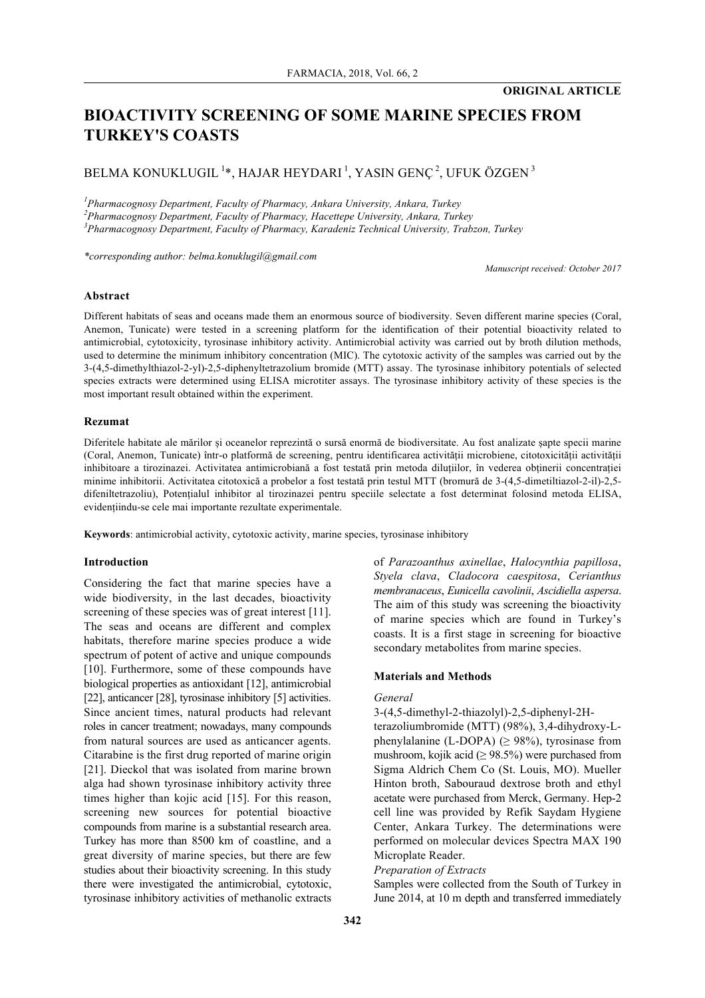# **BIOACTIVITY SCREENING OF SOME MARINE SPECIES FROM TURKEY'S COASTS**

## BELMA KONUKLUGIL  $^{1*}$ , HAJAR HEYDARI  $^{1}$ , YASIN GENÇ  $^{2}$ , UFUK ÖZGEN  $^{3}$

*1 Pharmacognosy Department, Faculty of Pharmacy, Ankara University, Ankara, Turkey*

*2 Pharmacognosy Department, Faculty of Pharmacy, Hacettepe University, Ankara, Turkey*

*3 Pharmacognosy Department, Faculty of Pharmacy, Karadeniz Technical University, Trabzon, Turkey*

*\*corresponding author: belma.konuklugil@gmail.com*

*Manuscript received: October 2017*

## **Abstract**

Different habitats of seas and oceans made them an enormous source of biodiversity. Seven different marine species (Coral, Anemon, Tunicate) were tested in a screening platform for the identification of their potential bioactivity related to antimicrobial, cytotoxicity, tyrosinase inhibitory activity. Antimicrobial activity was carried out by broth dilution methods, used to determine the minimum inhibitory concentration (MIC). The cytotoxic activity of the samples was carried out by the 3-(4,5-dimethylthiazol-2-yl)-2,5-diphenyltetrazolium bromide (MTT) assay. The tyrosinase inhibitory potentials of selected species extracts were determined using ELISA microtiter assays. The tyrosinase inhibitory activity of these species is the most important result obtained within the experiment.

## **Rezumat**

Diferitele habitate ale mărilor și oceanelor reprezintă o sursă enormă de biodiversitate. Au fost analizate șapte specii marine (Coral, Anemon, Tunicate) într-o platformă de screening, pentru identificarea activității microbiene, citotoxicității activității inhibitoare a tirozinazei. Activitatea antimicrobiană a fost testată prin metoda diluțiilor, în vederea obținerii concentrației minime inhibitorii. Activitatea citotoxică a probelor a fost testată prin testul MTT (bromură de 3-(4,5-dimetiltiazol-2-il)-2,5 difeniltetrazoliu), Potențialul inhibitor al tirozinazei pentru speciile selectate a fost determinat folosind metoda ELISA, evidențiindu-se cele mai importante rezultate experimentale.

**Keywords**: antimicrobial activity, cytotoxic activity, marine species, tyrosinase inhibitory

## **Introduction**

Considering the fact that marine species have a wide biodiversity, in the last decades, bioactivity screening of these species was of great interest [11]. The seas and oceans are different and complex habitats, therefore marine species produce a wide spectrum of potent of active and unique compounds [10]. Furthermore, some of these compounds have biological properties as antioxidant [12], antimicrobial [22], anticancer [28], tyrosinase inhibitory [5] activities. Since ancient times, natural products had relevant roles in cancer treatment; nowadays, many compounds from natural sources are used as anticancer agents. Citarabine is the first drug reported of marine origin [21]. Dieckol that was isolated from marine brown alga had shown tyrosinase inhibitory activity three times higher than kojic acid [15]. For this reason, screening new sources for potential bioactive compounds from marine is a substantial research area. Turkey has more than 8500 km of coastline, and a great diversity of marine species, but there are few studies about their bioactivity screening. In this study there were investigated the antimicrobial, cytotoxic, tyrosinase inhibitory activities of methanolic extracts of *Parazoanthus axinellae*, *Halocynthia papillosa*, *Styela clava*, *Cladocora caespitosa*, *Cerianthus membranaceus*, *Eunicella cavolinii*, *Ascidiella aspersa*. The aim of this study was screening the bioactivity of marine species which are found in Turkey's coasts. It is a first stage in screening for bioactive secondary metabolites from marine species.

## **Materials and Methods**

#### *General*

3-(4,5-dimethyl-2-thiazolyl)-2,5-diphenyl-2H-

terazoliumbromide (MTT) (98%), 3,4-dihydroxy-Lphenylalanine (L-DOPA) ( $\geq$  98%), tyrosinase from mushroom, kojik acid ( $\geq$  98.5%) were purchased from Sigma Aldrich Chem Co (St. Louis, MO). Mueller Hinton broth, Sabouraud dextrose broth and ethyl acetate were purchased from Merck, Germany. Hep-2 cell line was provided by Refik Saydam Hygiene Center, Ankara Turkey. The determinations were performed on molecular devices Spectra MAX 190 Microplate Reader.

#### *Preparation of Extracts*

Samples were collected from the South of Turkey in June 2014, at 10 m depth and transferred immediately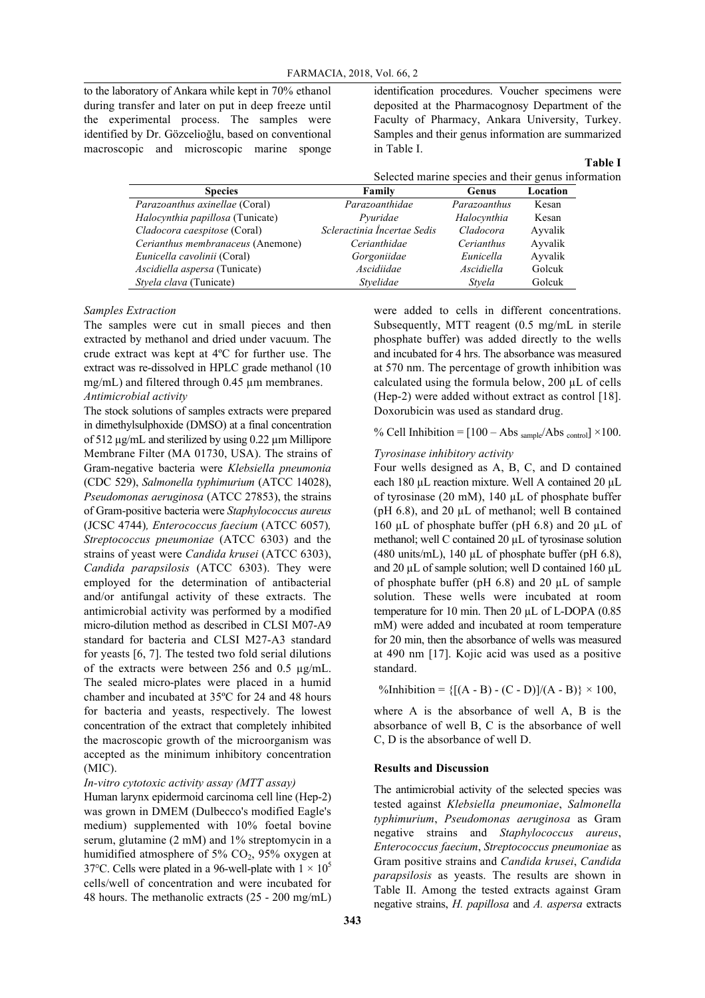to the laboratory of Ankara while kept in 70% ethanol during transfer and later on put in deep freeze until the experimental process. The samples were identified by Dr. Gözcelioğlu, based on conventional macroscopic and microscopic marine sponge identification procedures. Voucher specimens were deposited at the Pharmacognosy Department of the Faculty of Pharmacy, Ankara University, Turkey. Samples and their genus information are summarized in Table I.

|                                                     |  | Table I |  |
|-----------------------------------------------------|--|---------|--|
| Selected marine species and their genus information |  |         |  |

| <b>Species</b>                          | Family                      | Genus        | Location |
|-----------------------------------------|-----------------------------|--------------|----------|
| <i>Parazoanthus axinellae</i> (Coral)   | Parazoanthidae              | Parazoanthus | Kesan    |
| <i>Halocynthia papillosa</i> (Tunicate) | Pvuridae                    | Halocynthia  | Kesan    |
| Cladocora caespitose (Coral)            | Scleractinia Incertae Sedis | Cladocora    | Avvalik  |
| Cerianthus membranaceus (Anemone)       | Cerianthidae                | Cerianthus   | Ayvalik  |
| Eunicella cavolinii (Coral)             | Gorgoniidae                 | Eunicella    | Ayvalik  |
| Ascidiella aspersa (Tunicate)           | Ascidiidae                  | Ascidiella   | Golcuk   |
| Styela clava (Tunicate)                 | Stvelidae                   | Stvela       | Golcuk   |

#### *Samples Extraction*

The samples were cut in small pieces and then extracted by methanol and dried under vacuum. The crude extract was kept at 4ºC for further use. The extract was re-dissolved in HPLC grade methanol (10 mg/mL) and filtered through 0.45 µm membranes. *Antimicrobial activity*

The stock solutions of samples extracts were prepared in dimethylsulphoxide (DMSO) at a final concentration of 512 µg/mL and sterilized by using 0.22 µm Millipore Membrane Filter (MA 01730, USA). The strains of Gram-negative bacteria were *Klebsiella pneumonia* (CDC 529), *Salmonella typhimurium* (ATCC 14028), *Pseudomonas aeruginosa* (ATCC 27853), the strains of Gram-positive bacteria were *Staphylococcus aureus* (JCSC 4744)*, Enterococcus faecium* (ATCC 6057)*, Streptococcus pneumoniae* (ATCC 6303) and the strains of yeast were *Candida krusei* (ATCC 6303), *Candida parapsilosis* (ATCC 6303). They were employed for the determination of antibacterial and/or antifungal activity of these extracts. The antimicrobial activity was performed by a modified micro-dilution method as described in CLSI M07-A9 standard for bacteria and CLSI M27-A3 standard for yeasts [6, 7]. The tested two fold serial dilutions of the extracts were between 256 and 0.5 µg/mL. The sealed micro-plates were placed in a humid chamber and incubated at 35ºC for 24 and 48 hours for bacteria and yeasts, respectively. The lowest concentration of the extract that completely inhibited the macroscopic growth of the microorganism was accepted as the minimum inhibitory concentration (MIC).

## *In-vitro cytotoxic activity assay (MTT assay)*

Human larynx epidermoid carcinoma cell line (Hep-2) was grown in DMEM (Dulbecco's modified Eagle's medium) supplemented with 10% foetal bovine serum, glutamine (2 mM) and 1% streptomycin in a humidified atmosphere of  $5\%$  CO<sub>2</sub>, 95% oxygen at 37°C. Cells were plated in a 96-well-plate with  $1 \times 10^5$ cells/well of concentration and were incubated for 48 hours. The methanolic extracts (25 - 200 mg/mL)

were added to cells in different concentrations. Subsequently, MTT reagent (0.5 mg/mL in sterile phosphate buffer) was added directly to the wells and incubated for 4 hrs. The absorbance was measured at 570 nm. The percentage of growth inhibition was calculated using the formula below,  $200 \mu L$  of cells (Hep-2) were added without extract as control [18]. Doxorubicin was used as standard drug.

% Cell Inhibition =  $[100 - Abs_{sample}/Abs_{control}] \times 100$ .

#### *Tyrosinase inhibitory activity*

Four wells designed as A, B, C, and D contained each 180 µL reaction mixture. Well A contained 20 µL of tyrosinase (20 mM), 140 µL of phosphate buffer ( $pH$  6.8), and 20  $\mu$ L of methanol; well B contained 160  $\mu$ L of phosphate buffer (pH 6.8) and 20  $\mu$ L of methanol; well C contained 20 µL of tyrosinase solution (480 units/mL), 140  $\mu$ L of phosphate buffer (pH 6.8), and 20  $\mu$ L of sample solution; well D contained 160  $\mu$ L of phosphate buffer (pH  $6.8$ ) and 20  $\mu$ L of sample solution. These wells were incubated at room temperature for 10 min. Then 20 µL of L-DOPA (0.85 mM) were added and incubated at room temperature for 20 min, then the absorbance of wells was measured at 490 nm [17]. Kojic acid was used as a positive standard.

%Inhibition =  ${[(A - B) - (C - D)]/(A - B)} \times 100$ ,

where A is the absorbance of well A, B is the absorbance of well B, C is the absorbance of well C, D is the absorbance of well D.

## **Results and Discussion**

The antimicrobial activity of the selected species was tested against *Klebsiella pneumoniae*, *Salmonella typhimurium*, *Pseudomonas aeruginosa* as Gram negative strains and *Staphylococcus aureus*, *Enterococcus faecium*, *Streptococcus pneumoniae* as Gram positive strains and *Candida krusei*, *Candida parapsilosis* as yeasts. The results are shown in Table II. Among the tested extracts against Gram negative strains, *H. papillosa* and *A. aspersa* extracts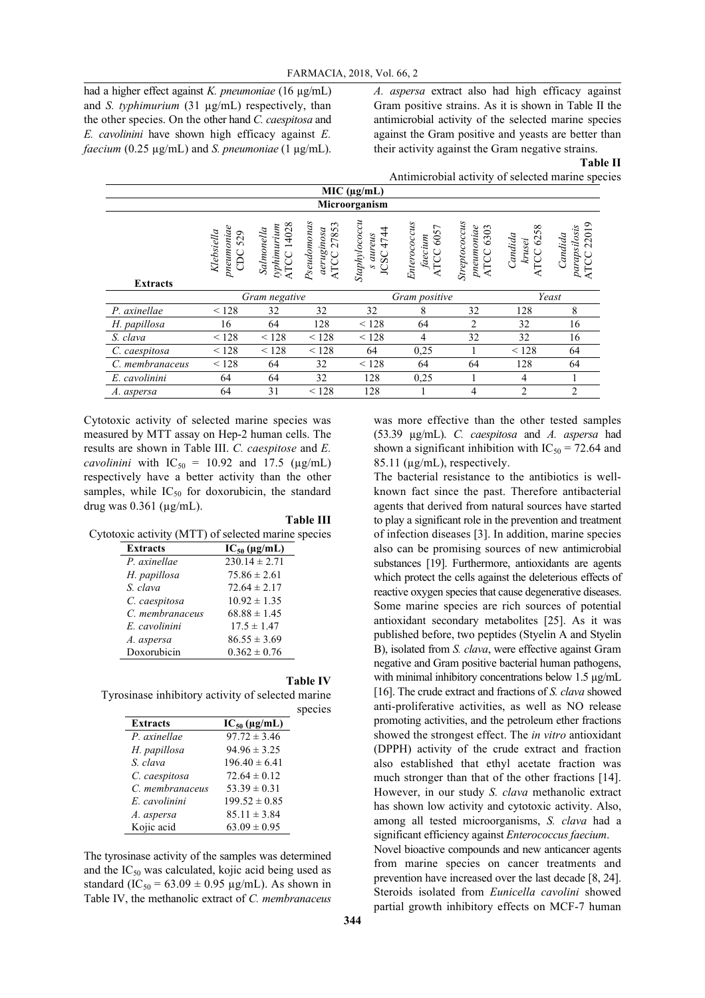had a higher effect against *K. pneumoniae* (16 µg/mL) and *S. typhimurium* (31 µg/mL) respectively, than the other species. On the other hand *C. caespitosa* and *E. cavolinini* have shown high efficacy against *E. faecium* (0.25 µg/mL) and *S. pneumoniae* (1 µg/mL).

*A. aspersa* extract also had high efficacy against Gram positive strains. As it is shown in Table II the antimicrobial activity of the selected marine species against the Gram positive and yeasts are better than their activity against the Gram negative strains.

**Table II**

Antimicrobial activity of selected marine species

|                 |                                           |                                                   |                                                  | MIC (µg/mL)                          |                                      |                                                       |                                              |                                                           |
|-----------------|-------------------------------------------|---------------------------------------------------|--------------------------------------------------|--------------------------------------|--------------------------------------|-------------------------------------------------------|----------------------------------------------|-----------------------------------------------------------|
|                 |                                           |                                                   |                                                  | Microorganism                        |                                      |                                                       |                                              |                                                           |
|                 | $p$ neumoniae<br>Klebsiella<br>529<br>CDC | 14028<br>typhimurium<br>Salmonella<br><b>ATCC</b> | Pseudomonas<br>27853<br>aeruginosa<br>ATCC 27853 | Staphylococcu<br>JCSC 4744<br>aureus | Enterococcus<br>ATCC 6057<br>faecium | Streptococcus<br>$p$ neumoniae<br>6303<br><b>ATCC</b> | $\infty$<br>625<br>Candida<br>krusei<br>ATCC | $\circ$<br>parapsilosis<br>2201<br>Candida<br><b>ATCC</b> |
| <b>Extracts</b> |                                           |                                                   |                                                  |                                      |                                      |                                                       |                                              |                                                           |
|                 |                                           | Gram negative                                     |                                                  |                                      | Gram positive                        |                                                       |                                              | Yeast                                                     |
| P. axinellae    | < 128                                     | 32                                                | 32                                               | 32                                   | 8                                    | 32                                                    | 128                                          | 8                                                         |
| H. papillosa    | 16                                        | 64                                                | 128                                              | < 128                                | 64                                   | 2                                                     | 32                                           | 16                                                        |
| S. clava        | < 128                                     | < 128                                             | < 128                                            | < 128                                | $\overline{4}$                       | 32                                                    | 32                                           | 16                                                        |
| C. caespitosa   | < 128                                     | < 128                                             | < 128                                            | 64                                   | 0,25                                 |                                                       | < 128                                        | 64                                                        |
| C. membranaceus | < 128                                     | 64                                                | 32                                               | < 128                                | 64                                   | 64                                                    | 128                                          | 64                                                        |
| E. cavolinini   | 64                                        | 64                                                | 32                                               | 128                                  | 0,25                                 |                                                       | 4                                            |                                                           |
| A. aspersa      | 64                                        | 31                                                | < 128                                            | 128                                  |                                      | 4                                                     | $\overline{2}$                               | $\overline{2}$                                            |

Cytotoxic activity of selected marine species was measured by MTT assay on Hep-2 human cells. The results are shown in Table III. *C. caespitose* and *E. cavolinini* with  $IC_{50} = 10.92$  and 17.5 ( $\mu$ g/mL) respectively have a better activity than the other samples, while  $IC_{50}$  for doxorubicin, the standard drug was  $0.361$  ( $\mu$ g/mL).

#### **Table III**

Cytotoxic activity (MTT) of selected marine species

| <b>Extracts</b> | $IC_{50}$ (µg/mL) |
|-----------------|-------------------|
| P. axinellae    | $230.14 \pm 2.71$ |
| H. papillosa    | $75.86 \pm 2.61$  |
| S. clava        | $72.64 \pm 2.17$  |
| C. caespitosa   | $10.92 \pm 1.35$  |
| C. membranaceus | $68.88 \pm 1.45$  |
| E. cavolinini   | $17.5 \pm 1.47$   |
| A. aspersa      | $86.55 \pm 3.69$  |
| Doxorubicin     | $0.362 \pm 0.76$  |

#### **Table IV**

Tyrosinase inhibitory activity of selected marine species

| <b>Extracts</b> | $IC_{50}$ (µg/mL) |
|-----------------|-------------------|
| P. axinellae    | $97.72 \pm 3.46$  |
| H. papillosa    | $94.96 \pm 3.25$  |
| S. clava        | $196.40 \pm 6.41$ |
| C. caespitosa   | $72.64 \pm 0.12$  |
| C. membranaceus | $53.39 \pm 0.31$  |
| E. cavolinini   | $199.52 \pm 0.85$ |
| A. aspersa      | $85.11 \pm 3.84$  |
| Kojic acid      | $63.09 \pm 0.95$  |

The tyrosinase activity of the samples was determined and the  $IC_{50}$  was calculated, kojic acid being used as standard (IC<sub>50</sub> = 63.09  $\pm$  0.95 µg/mL). As shown in Table IV, the methanolic extract of *C. membranaceus* was more effective than the other tested samples (53.39 µg/mL). *C. caespitosa* and *A. aspersa* had shown a significant inhibition with  $IC_{50} = 72.64$  and 85.11 (µg/mL), respectively.

The bacterial resistance to the antibiotics is wellknown fact since the past. Therefore antibacterial agents that derived from natural sources have started to play a significant role in the prevention and treatment of infection diseases [3]. In addition, marine species also can be promising sources of new antimicrobial substances [19]. Furthermore, antioxidants are agents which protect the cells against the deleterious effects of reactive oxygen species that cause degenerative diseases. Some marine species are rich sources of potential antioxidant secondary metabolites [25]. As it was published before, two peptides (Styelin A and Styelin B), isolated from *S. clava*, were effective against Gram negative and Gram positive bacterial human pathogens, with minimal inhibitory concentrations below 1.5 µg/mL [16]. The crude extract and fractions of *S. clava* showed anti-proliferative activities, as well as NO release promoting activities, and the petroleum ether fractions showed the strongest effect. The *in vitro* antioxidant (DPPH) activity of the crude extract and fraction also established that ethyl acetate fraction was much stronger than that of the other fractions [14]. However, in our study *S. clava* methanolic extract has shown low activity and cytotoxic activity. Also, among all tested microorganisms, *S. clava* had a significant efficiency against *Enterococcus faecium*. Novel bioactive compounds and new anticancer agents from marine species on cancer treatments and prevention have increased over the last decade [8, 24].

Steroids isolated from *Eunicella cavolini* showed partial growth inhibitory effects on MCF-7 human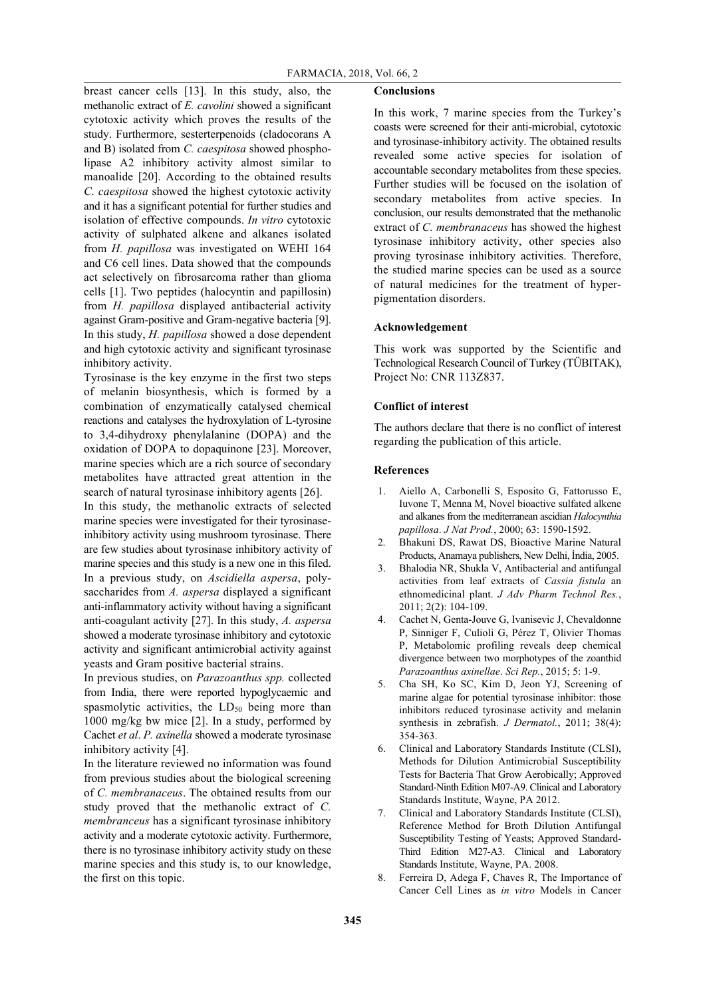breast cancer cells [13]. In this study, also, the methanolic extract of *E. cavolini* showed a significant cytotoxic activity which proves the results of the study. Furthermore, sesterterpenoids (cladocorans A and B) isolated from *C. caespitosa* showed phospholipase A2 inhibitory activity almost similar to manoalide [20]. According to the obtained results *C. caespitosa* showed the highest cytotoxic activity and it has a significant potential for further studies and isolation of effective compounds. *In vitro* cytotoxic activity of sulphated alkene and alkanes isolated from *H. papillosa* was investigated on WEHI 164 and C6 cell lines. Data showed that the compounds act selectively on fibrosarcoma rather than glioma cells [1]. Two peptides (halocyntin and papillosin) from *H. papillosa* displayed antibacterial activity against Gram-positive and Gram-negative bacteria [9]. In this study, *H. papillosa* showed a dose dependent and high cytotoxic activity and significant tyrosinase inhibitory activity.

Tyrosinase is the key enzyme in the first two steps of melanin biosynthesis, which is formed by a combination of enzymatically catalysed chemical reactions and catalyses the hydroxylation of L-tyrosine to 3,4-dihydroxy phenylalanine (DOPA) and the oxidation of DOPA to dopaquinone [23]. Moreover, marine species which are a rich source of secondary metabolites have attracted great attention in the search of natural tyrosinase inhibitory agents [26]. In this study, the methanolic extracts of selected marine species were investigated for their tyrosinaseinhibitory activity using mushroom tyrosinase. There are few studies about tyrosinase inhibitory activity of marine species and this study is a new one in this filed. In a previous study, on *Ascidiella aspersa*, polysaccharides from *A. aspersa* displayed a significant anti-inflammatory activity without having a significant anti-coagulant activity [27]. In this study, *A. aspersa* showed a moderate tyrosinase inhibitory and cytotoxic activity and significant antimicrobial activity against yeasts and Gram positive bacterial strains.

In previous studies, on *Parazoanthus spp.* collected from India, there were reported hypoglycaemic and spasmolytic activities, the  $LD_{50}$  being more than 1000 mg/kg bw mice [2]. In a study, performed by Cachet *et al*. *P. axinella* showed a moderate tyrosinase inhibitory activity [4].

In the literature reviewed no information was found from previous studies about the biological screening of *C. membranaceus*. The obtained results from our study proved that the methanolic extract of *C. membranceus* has a significant tyrosinase inhibitory activity and a moderate cytotoxic activity. Furthermore, there is no tyrosinase inhibitory activity study on these marine species and this study is, to our knowledge, the first on this topic.

## **Conclusions**

In this work, 7 marine species from the Turkey's coasts were screened for their anti-microbial, cytotoxic and tyrosinase-inhibitory activity. The obtained results revealed some active species for isolation of accountable secondary metabolites from these species. Further studies will be focused on the isolation of secondary metabolites from active species. In conclusion, our results demonstrated that the methanolic extract of *C. membranaceus* has showed the highest tyrosinase inhibitory activity, other species also proving tyrosinase inhibitory activities. Therefore, the studied marine species can be used as a source of natural medicines for the treatment of hyperpigmentation disorders.

## **Acknowledgement**

This work was supported by the Scientific and Technological Research Council of Turkey (TÜBITAK), Project No: CNR 113Z837.

### **Conflict of interest**

The authors declare that there is no conflict of interest regarding the publication of this article.

#### **References**

- 1. Aiello A, Carbonelli S, Esposito G, Fattorusso E, Iuvone T, Menna M, Novel bioactive sulfated alkene and alkanes from the mediterranean ascidian *Halocynthia papillosa*. *J Nat Prod.*, 2000; 63: 1590-1592.
- 2. Bhakuni DS, Rawat DS, Bioactive Marine Natural Products, Anamaya publishers, New Delhi, İndia, 2005.
- 3. Bhalodia NR, Shukla V, Antibacterial and antifungal activities from leaf extracts of *Cassia fistula* an ethnomedicinal plant. *J Adv Pharm Technol Res.*, 2011; 2(2): 104-109.
- 4. Cachet N, Genta-Jouve G, Ivanisevic J, Chevaldonne P, Sinniger F, Culioli G, Pérez T, Olivier Thomas P, Metabolomic profiling reveals deep chemical divergence between two morphotypes of the zoanthid *Parazoanthus axinellae*. *Sci Rep.*, 2015; 5: 1-9.
- 5. Cha SH, Ko SC, Kim D, Jeon YJ, Screening of marine algae for potential tyrosinase inhibitor: those inhibitors reduced tyrosinase activity and melanin synthesis in zebrafish. *J Dermatol.*, 2011; 38(4): 354-363.
- 6. Clinical and Laboratory Standards Institute (CLSI), Methods for Dilution Antimicrobial Susceptibility Tests for Bacteria That Grow Aerobically; Approved Standard-Ninth Edition M07-A9. Clinical and Laboratory Standards Institute, Wayne, PA 2012.
- 7. Clinical and Laboratory Standards Institute (CLSI), Reference Method for Broth Dilution Antifungal Susceptibility Testing of Yeasts; Approved Standard-Third Edition M27-A3. Clinical and Laboratory Standards Institute, Wayne, PA. 2008.
- 8. Ferreira D, Adega F, Chaves R, The Importance of Cancer Cell Lines as *in vitro* Models in Cancer